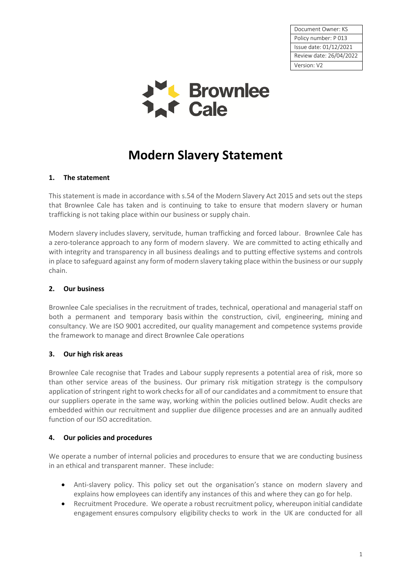Document Owner: KS Policy number: P 013 Issue date: 01/12/2021 Review date: 26/04/2022 Version: V2



# **Modern Slavery Statement**

## **1. The statement**

This statement is made in accordance with s.54 of the Modern Slavery Act 2015 and sets out the steps that Brownlee Cale has taken and is continuing to take to ensure that modern slavery or human trafficking is not taking place within our business or supply chain.

Modern slavery includes slavery, servitude, human trafficking and forced labour. Brownlee Cale has a zero-tolerance approach to any form of modern slavery. We are committed to acting ethically and with integrity and transparency in all business dealings and to putting effective systems and controls in place to safeguard against any form of modern slavery taking place within the business or our supply chain.

## **2. Our business**

Brownlee Cale specialises in the recruitment of trades, technical, operational and managerial staff on both a permanent and temporary basis within the construction, civil, engineering, mining and consultancy. We are ISO 9001 accredited, our quality management and competence systems provide the framework to manage and direct Brownlee Cale operations

# **3. Our high risk areas**

Brownlee Cale recognise that Trades and Labour supply represents a potential area of risk, more so than other service areas of the business. Our primary risk mitigation strategy is the compulsory application of stringent right to work checks for all of our candidates and a commitment to ensure that our suppliers operate in the same way, working within the policies outlined below. Audit checks are embedded within our recruitment and supplier due diligence processes and are an annually audited function of our ISO accreditation.

#### **4. Our policies and procedures**

We operate a number of internal policies and procedures to ensure that we are conducting business in an ethical and transparent manner. These include:

- Anti-slavery policy. This policy set out the organisation's stance on modern slavery and explains how employees can identify any instances of this and where they can go for help.
- Recruitment Procedure. We operate a robust recruitment policy, whereupon initial candidate engagement ensures compulsory eligibility checks to work in the UK are conducted for all